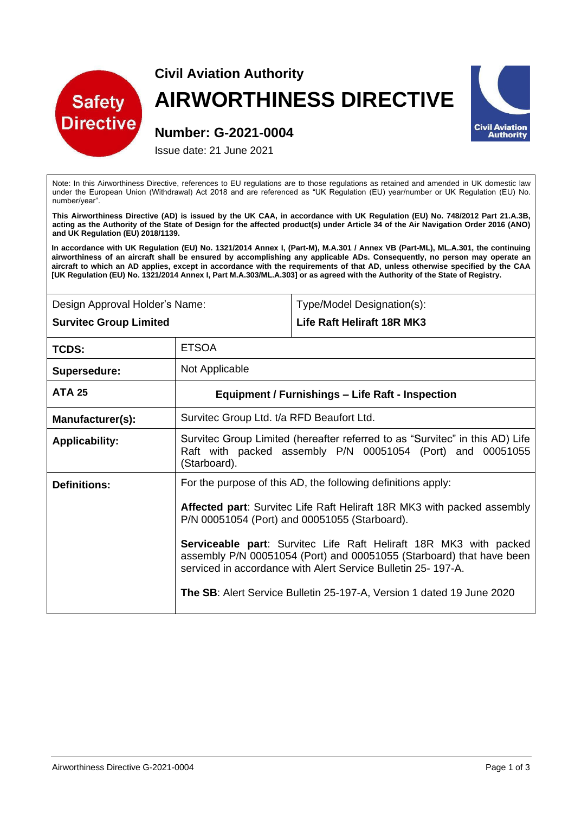

## **Civil Aviation Authority AIRWORTHINESS DIRECTIVE**



## **Number: G-2021-0004**

Issue date: 21 June 2021

Note: In this Airworthiness Directive, references to EU regulations are to those regulations as retained and amended in UK domestic law under the European Union (Withdrawal) Act 2018 and are referenced as "UK Regulation (EU) year/number or UK Regulation (EU) No. number/year".

**This Airworthiness Directive (AD) is issued by the UK CAA, in accordance with UK Regulation (EU) No. 748/2012 Part 21.A.3B, acting as the Authority of the State of Design for the affected product(s) under Article 34 of the Air Navigation Order 2016 (ANO) and UK Regulation (EU) 2018/1139.** 

**In accordance with UK Regulation (EU) No. 1321/2014 Annex I, (Part-M), M.A.301 / Annex VB (Part-ML), ML.A.301, the continuing airworthiness of an aircraft shall be ensured by accomplishing any applicable ADs. Consequently, no person may operate an aircraft to which an AD applies, except in accordance with the requirements of that AD, unless otherwise specified by the CAA [UK Regulation (EU) No. 1321/2014 Annex I, Part M.A.303/ML.A.303] or as agreed with the Authority of the State of Registry.** 

| Design Approval Holder's Name: | Type/Model Designation(s): |
|--------------------------------|----------------------------|
| <b>Survitec Group Limited</b>  | Life Raft Heliraft 18R MK3 |

| TCDS:                 | <b>ETSOA</b>                                                                                                                                                                                                                                                                                                                                                                                                                                                                                 |
|-----------------------|----------------------------------------------------------------------------------------------------------------------------------------------------------------------------------------------------------------------------------------------------------------------------------------------------------------------------------------------------------------------------------------------------------------------------------------------------------------------------------------------|
| Supersedure:          | Not Applicable                                                                                                                                                                                                                                                                                                                                                                                                                                                                               |
| <b>ATA 25</b>         | Equipment / Furnishings – Life Raft - Inspection                                                                                                                                                                                                                                                                                                                                                                                                                                             |
| Manufacturer(s):      | Survitec Group Ltd. t/a RFD Beaufort Ltd.                                                                                                                                                                                                                                                                                                                                                                                                                                                    |
| <b>Applicability:</b> | Survitec Group Limited (hereafter referred to as "Survitec" in this AD) Life<br>Raft with packed assembly P/N 00051054 (Port) and 00051055<br>(Starboard).                                                                                                                                                                                                                                                                                                                                   |
| <b>Definitions:</b>   | For the purpose of this AD, the following definitions apply:<br>Affected part: Survitec Life Raft Heliraft 18R MK3 with packed assembly<br>P/N 00051054 (Port) and 00051055 (Starboard).<br><b>Serviceable part:</b> Survitec Life Raft Heliraft 18R MK3 with packed<br>assembly P/N 00051054 (Port) and 00051055 (Starboard) that have been<br>serviced in accordance with Alert Service Bulletin 25-197-A.<br><b>The SB:</b> Alert Service Bulletin 25-197-A, Version 1 dated 19 June 2020 |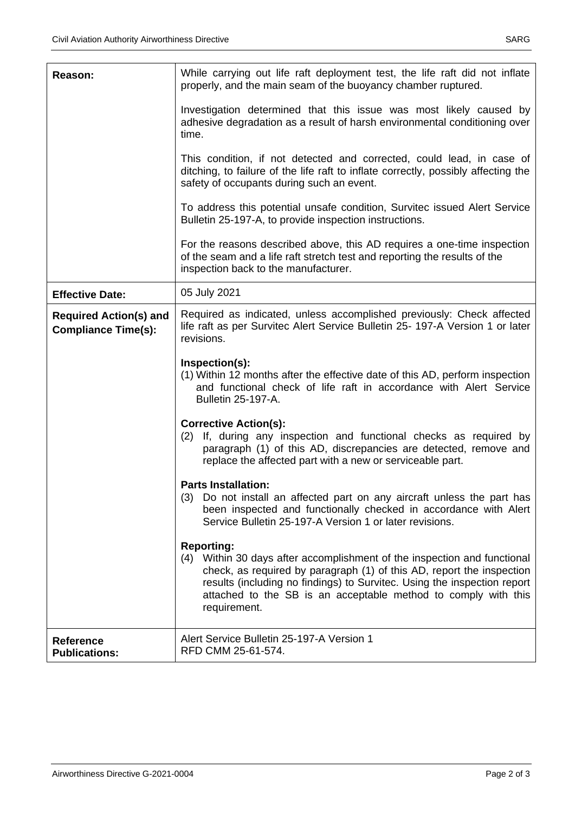| Reason:                                                     | While carrying out life raft deployment test, the life raft did not inflate<br>properly, and the main seam of the buoyancy chamber ruptured.                                                                                                                                                                                         |  |
|-------------------------------------------------------------|--------------------------------------------------------------------------------------------------------------------------------------------------------------------------------------------------------------------------------------------------------------------------------------------------------------------------------------|--|
|                                                             | Investigation determined that this issue was most likely caused by<br>adhesive degradation as a result of harsh environmental conditioning over<br>time.                                                                                                                                                                             |  |
|                                                             | This condition, if not detected and corrected, could lead, in case of<br>ditching, to failure of the life raft to inflate correctly, possibly affecting the<br>safety of occupants during such an event.                                                                                                                             |  |
|                                                             | To address this potential unsafe condition, Survitec issued Alert Service<br>Bulletin 25-197-A, to provide inspection instructions.                                                                                                                                                                                                  |  |
|                                                             | For the reasons described above, this AD requires a one-time inspection<br>of the seam and a life raft stretch test and reporting the results of the<br>inspection back to the manufacturer.                                                                                                                                         |  |
| <b>Effective Date:</b>                                      | 05 July 2021                                                                                                                                                                                                                                                                                                                         |  |
| <b>Required Action(s) and</b><br><b>Compliance Time(s):</b> | Required as indicated, unless accomplished previously: Check affected<br>life raft as per Survitec Alert Service Bulletin 25- 197-A Version 1 or later<br>revisions.                                                                                                                                                                 |  |
|                                                             | Inspection(s):<br>(1) Within 12 months after the effective date of this AD, perform inspection<br>and functional check of life raft in accordance with Alert Service<br><b>Bulletin 25-197-A.</b>                                                                                                                                    |  |
|                                                             | <b>Corrective Action(s):</b><br>If, during any inspection and functional checks as required by<br>(2)<br>paragraph (1) of this AD, discrepancies are detected, remove and<br>replace the affected part with a new or serviceable part.                                                                                               |  |
|                                                             | <b>Parts Installation:</b><br>(3) Do not install an affected part on any aircraft unless the part has<br>been inspected and functionally checked in accordance with Alert<br>Service Bulletin 25-197-A Version 1 or later revisions.                                                                                                 |  |
|                                                             | <b>Reporting:</b><br>(4) Within 30 days after accomplishment of the inspection and functional<br>check, as required by paragraph (1) of this AD, report the inspection<br>results (including no findings) to Survitec. Using the inspection report<br>attached to the SB is an acceptable method to comply with this<br>requirement. |  |
| <b>Reference</b><br><b>Publications:</b>                    | Alert Service Bulletin 25-197-A Version 1<br>RFD CMM 25-61-574.                                                                                                                                                                                                                                                                      |  |